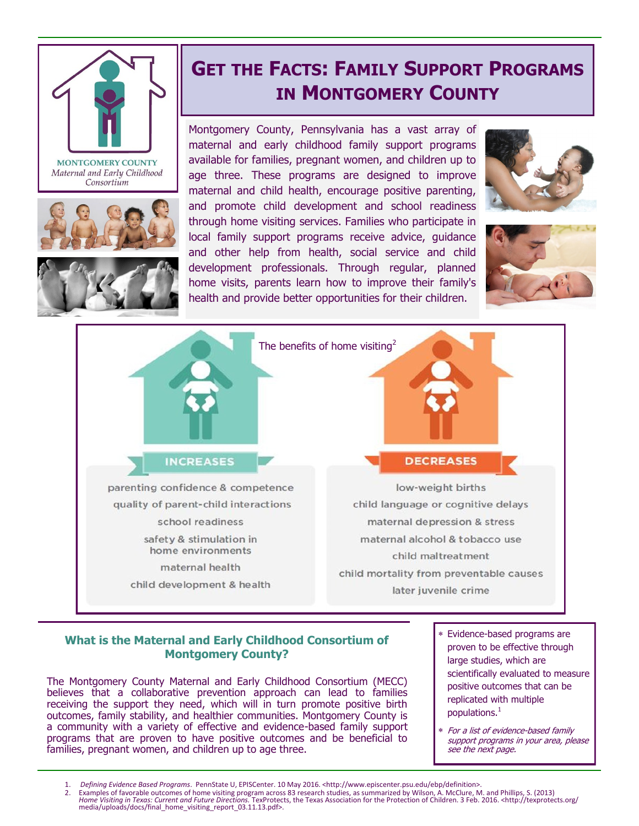

**MONTGOMERY COUNTY** Maternal and Early Childhood Consortium





## **GET THE FACTS: FAMILY SUPPORT PROGRAMS IN MONTGOMERY COUNTY**

Montgomery County, Pennsylvania has a vast array of maternal and early childhood family support programs available for families, pregnant women, and children up to age three. These programs are designed to improve maternal and child health, encourage positive parenting, and promote child development and school readiness through home visiting services. Families who participate in local family support programs receive advice, guidance and other help from health, social service and child development professionals. Through regular, planned home visits, parents learn how to improve their family's health and provide better opportunities for their children.







## **What is the Maternal and Early Childhood Consortium of Montgomery County?**

The Montgomery County Maternal and Early Childhood Consortium (MECC) believes that a collaborative prevention approach can lead to families receiving the support they need, which will in turn promote positive birth outcomes, family stability, and healthier communities. Montgomery County is a community with a variety of effective and evidence-based family support programs that are proven to have positive outcomes and be beneficial to families, pregnant women, and children up to age three.

- Evidence-based programs are proven to be effective through large studies, which are scientifically evaluated to measure positive outcomes that can be replicated with multiple populations.<sup>1</sup>
- For a list of evidence-based family support programs in your area, please see the next page.

<sup>1.</sup> *Defining Evidence Based Programs*. PennState U, EPISCenter. 10 May 2016. <http://www.episcenter.psu.edu/ebp/definition>.

<sup>2.</sup> Examples of favorable outcomes of home visiting program across 83 research studies, as summarized by Wilson, A. McClure, M. and Phillips, S. (2013)<br>Home Visiting in Texas: Current and Future Directions. TexProtects, the